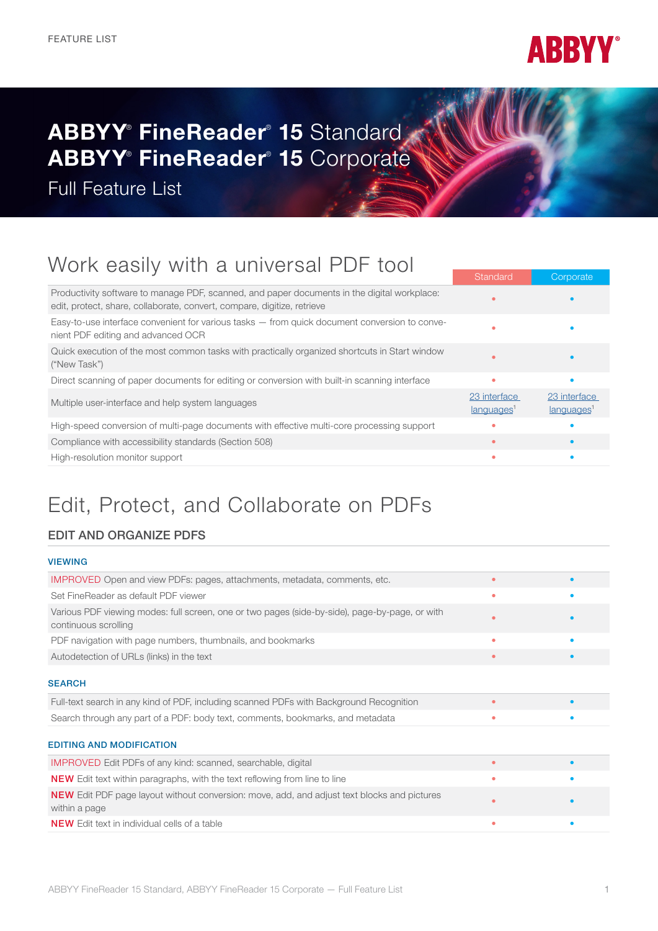

# ABBYY® FineReader® 15 Standard ABBYY® FineReader® 15 Corporate

Full Feature List

## Work easily with a universal PDF tool

|                                                                                                                                                                        | Standard                               | Corporate                              |
|------------------------------------------------------------------------------------------------------------------------------------------------------------------------|----------------------------------------|----------------------------------------|
| Productivity software to manage PDF, scanned, and paper documents in the digital workplace:<br>edit, protect, share, collaborate, convert, compare, digitize, retrieve |                                        |                                        |
| Easy-to-use interface convenient for various tasks - from quick document conversion to conve-<br>nient PDF editing and advanced OCR                                    |                                        |                                        |
| Quick execution of the most common tasks with practically organized shortcuts in Start window<br>("New Task")                                                          |                                        |                                        |
| Direct scanning of paper documents for editing or conversion with built-in scanning interface                                                                          | $\bullet$                              |                                        |
| Multiple user-interface and help system languages                                                                                                                      | 23 interface<br>languages <sup>1</sup> | 23 interface<br>languages <sup>1</sup> |
| High-speed conversion of multi-page documents with effective multi-core processing support                                                                             |                                        |                                        |
| Compliance with accessibility standards (Section 508)                                                                                                                  |                                        |                                        |
| High-resolution monitor support                                                                                                                                        | ٠                                      |                                        |
|                                                                                                                                                                        |                                        |                                        |

### Edit, Protect, and Collaborate on PDFs

#### EDIT AND ORGANIZE PDFS

#### VIEWING

| <b>IMPROVED</b> Open and view PDFs: pages, attachments, metadata, comments, etc.                                       | $\bullet$ |   |
|------------------------------------------------------------------------------------------------------------------------|-----------|---|
| Set FineReader as default PDF viewer                                                                                   |           |   |
| Various PDF viewing modes: full screen, one or two pages (side-by-side), page-by-page, or with<br>continuous scrolling |           |   |
| PDF navigation with page numbers, thumbnails, and bookmarks                                                            | ٠         |   |
| Autodetection of URLs (links) in the text                                                                              | $\bullet$ |   |
| <b>SEARCH</b>                                                                                                          |           |   |
| Full-text search in any kind of PDF, including scanned PDFs with Background Recognition                                |           |   |
| Search through any part of a PDF: body text, comments, bookmarks, and metadata                                         | ۰         |   |
| <b>EDITING AND MODIFICATION</b>                                                                                        |           |   |
| <b>IMPROVED</b> Edit PDFs of any kind: scanned, searchable, digital                                                    | $\bullet$ |   |
| <b>NEW</b> Edit text within paragraphs, with the text reflowing from line to line                                      | ٠         |   |
| <b>NEW</b> Edit PDF page layout without conversion: move, add, and adjust text blocks and pictures<br>within a page    |           |   |
| <b>NEW</b> Edit text in individual cells of a table                                                                    | ٠         | ٠ |
|                                                                                                                        |           |   |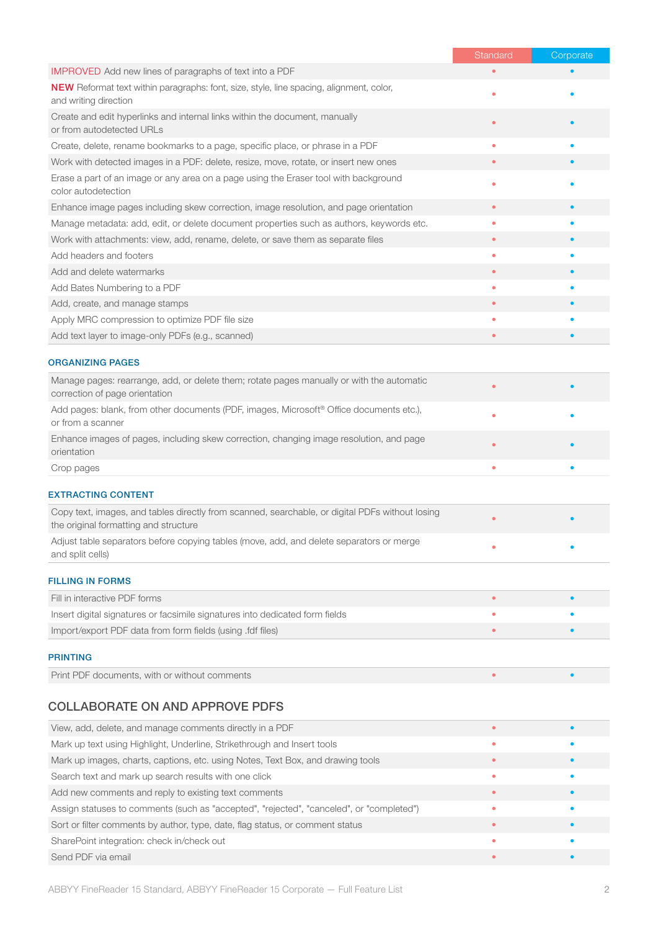|                                                                                                                             | Standard  | Corporate |
|-----------------------------------------------------------------------------------------------------------------------------|-----------|-----------|
| <b>IMPROVED</b> Add new lines of paragraphs of text into a PDF                                                              |           |           |
| <b>NEW</b> Reformat text within paragraphs: font, size, style, line spacing, alignment, color,<br>and writing direction     | $\bullet$ |           |
| Create and edit hyperlinks and internal links within the document, manually<br>or from autodetected URLs                    | $\bullet$ |           |
| Create, delete, rename bookmarks to a page, specific place, or phrase in a PDF                                              | $\bullet$ |           |
| Work with detected images in a PDF: delete, resize, move, rotate, or insert new ones                                        | $\bullet$ |           |
| Erase a part of an image or any area on a page using the Eraser tool with background<br>color autodetection                 | ٠         |           |
| Enhance image pages including skew correction, image resolution, and page orientation                                       | $\bullet$ |           |
| Manage metadata: add, edit, or delete document properties such as authors, keywords etc.                                    | $\bullet$ |           |
| Work with attachments: view, add, rename, delete, or save them as separate files                                            | $\bullet$ |           |
| Add headers and footers                                                                                                     | ٠         |           |
| Add and delete watermarks                                                                                                   | $\bullet$ |           |
| Add Bates Numbering to a PDF                                                                                                | $\bullet$ |           |
| Add, create, and manage stamps                                                                                              | $\bullet$ |           |
| Apply MRC compression to optimize PDF file size                                                                             | $\bullet$ |           |
| Add text layer to image-only PDFs (e.g., scanned)                                                                           | ٠         |           |
| <b>ORGANIZING PAGES</b>                                                                                                     |           |           |
| Manage pages: rearrange, add, or delete them; rotate pages manually or with the automatic<br>correction of page orientation |           |           |
| Add pages: blank, from other documents (PDF, images, Microsoft® Office documents etc.),<br>or from a scanner                | ٠         |           |
| Enhance images of pages, including skew correction, changing image resolution, and page<br>orientation                      |           |           |
| Crop pages                                                                                                                  |           |           |
|                                                                                                                             |           |           |

#### EXTRACTING CONTENT

| Copy text, images, and tables directly from scanned, searchable, or digital PDFs without losing<br>the original formatting and structure |  |
|------------------------------------------------------------------------------------------------------------------------------------------|--|
| Adjust table separators before copying tables (move, add, and delete separators or merge<br>and split cells)                             |  |
|                                                                                                                                          |  |

### FILLING IN FORMS

| Fill in interactive PDF forms                                                |  |
|------------------------------------------------------------------------------|--|
| Insert digital signatures or facsimile signatures into dedicated form fields |  |
| Import/export PDF data from form fields (using .fdf files)                   |  |
|                                                                              |  |

#### PRINTING

| Print PDF documents, with or without comments |  |
|-----------------------------------------------|--|
|                                               |  |

#### COLLABORATE ON AND APPROVE PDFS

| View, add, delete, and manage comments directly in a PDF                                 |  |
|------------------------------------------------------------------------------------------|--|
| Mark up text using Highlight, Underline, Strikethrough and Insert tools                  |  |
| Mark up images, charts, captions, etc. using Notes, Text Box, and drawing tools          |  |
| Search text and mark up search results with one click                                    |  |
| Add new comments and reply to existing text comments                                     |  |
| Assign statuses to comments (such as "accepted", "rejected", "canceled", or "completed") |  |
| Sort or filter comments by author, type, date, flag status, or comment status            |  |
| SharePoint integration: check in/check out                                               |  |
| Send PDF via email                                                                       |  |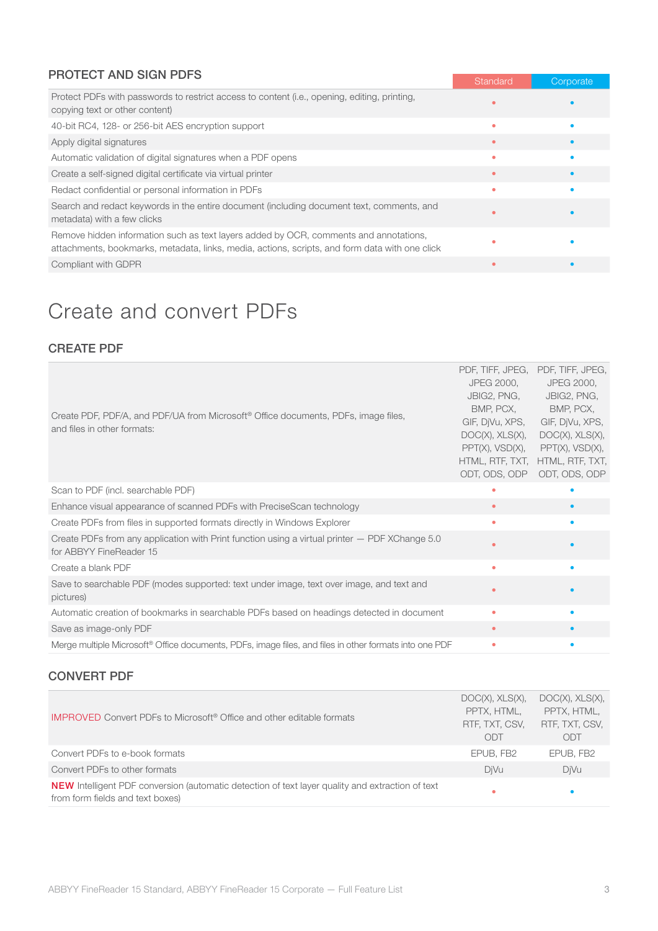#### PROTECT AND SIGN PDFS

|                                                                                                                                                                                         | Standard | Corporate |
|-----------------------------------------------------------------------------------------------------------------------------------------------------------------------------------------|----------|-----------|
| Protect PDFs with passwords to restrict access to content (i.e., opening, editing, printing,<br>copying text or other content)                                                          |          |           |
| 40-bit RC4, 128- or 256-bit AES encryption support                                                                                                                                      | ۰        |           |
| Apply digital signatures                                                                                                                                                                |          |           |
| Automatic validation of digital signatures when a PDF opens                                                                                                                             | ۰        |           |
| Create a self-signed digital certificate via virtual printer                                                                                                                            |          |           |
| Redact confidential or personal information in PDFs                                                                                                                                     | ۰        |           |
| Search and redact keywords in the entire document (including document text, comments, and<br>metadata) with a few clicks                                                                | ٠        |           |
| Remove hidden information such as text layers added by OCR, comments and annotations,<br>attachments, bookmarks, metadata, links, media, actions, scripts, and form data with one click |          |           |
| Compliant with GDPR                                                                                                                                                                     |          |           |

### Create and convert PDFs

#### CREATE PDF

| Create PDF, PDF/A, and PDF/UA from Microsoft <sup>®</sup> Office documents, PDFs, image files,<br>and files in other formats: | PDF, TIFF, JPEG, PDF, TIFF, JPEG,<br>JPEG 2000,<br>JBIG2, PNG,<br>BMP, PCX,<br>GIF, DjVu, XPS,<br>DOC(X), XLS(X),<br>$PPT(X)$ , $VSD(X)$ ,<br>ODT, ODS, ODP | JPEG 2000,<br>JBIG2, PNG,<br>BMP, PCX,<br>GIF, DjVu, XPS,<br>DOC(X), XLS(X),<br>$PPT(X)$ , $VSD(X)$ ,<br>HTML, RTF, TXT, HTML, RTF, TXT,<br>ODT, ODS, ODP |
|-------------------------------------------------------------------------------------------------------------------------------|-------------------------------------------------------------------------------------------------------------------------------------------------------------|-----------------------------------------------------------------------------------------------------------------------------------------------------------|
| Scan to PDF (incl. searchable PDF)                                                                                            | ٠                                                                                                                                                           |                                                                                                                                                           |
| Enhance visual appearance of scanned PDFs with PreciseScan technology                                                         | $\bullet$                                                                                                                                                   |                                                                                                                                                           |
| Create PDFs from files in supported formats directly in Windows Explorer                                                      | ٠                                                                                                                                                           |                                                                                                                                                           |
| Create PDFs from any application with Print function using a virtual printer - PDF XChange 5.0<br>for ABBYY FineReader 15     |                                                                                                                                                             |                                                                                                                                                           |
| Create a blank PDF                                                                                                            | ٠                                                                                                                                                           |                                                                                                                                                           |
| Save to searchable PDF (modes supported: text under image, text over image, and text and<br>pictures)                         | ٠                                                                                                                                                           |                                                                                                                                                           |
| Automatic creation of bookmarks in searchable PDFs based on headings detected in document                                     | $\bullet$                                                                                                                                                   |                                                                                                                                                           |
| Save as image-only PDF                                                                                                        | $\bullet$                                                                                                                                                   |                                                                                                                                                           |
| Merge multiple Microsoft® Office documents, PDFs, image files, and files in other formats into one PDF                        | ٠                                                                                                                                                           |                                                                                                                                                           |

#### CONVERT PDF

| <b>IMPROVED</b> Convert PDFs to Microsoft <sup>®</sup> Office and other editable formats                                             | DOC(X), XLS(X),<br>PPTX, HTML,<br>RTF, TXT, CSV,<br>ODT | DOC(X), XLS(X),<br>PPTX, HTML,<br>RTF, TXT, CSV,<br>ODT |
|--------------------------------------------------------------------------------------------------------------------------------------|---------------------------------------------------------|---------------------------------------------------------|
| Convert PDFs to e-book formats                                                                                                       | EPUB, FB2                                               | EPUB, FB2                                               |
| Convert PDFs to other formats                                                                                                        | DiVu                                                    | DiVu                                                    |
| NEW Intelligent PDF conversion (automatic detection of text layer quality and extraction of text<br>from form fields and text boxes) | ٠                                                       | $\bullet$                                               |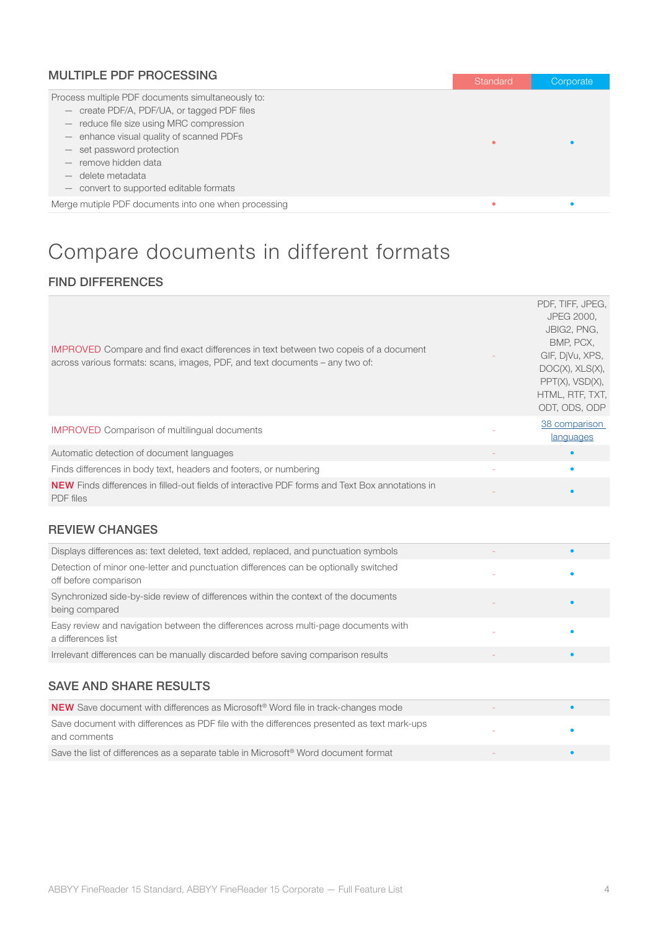| <b>MULTIPLE PDF PROCESSING</b>                       | <b>Standard</b> | Corporate |
|------------------------------------------------------|-----------------|-----------|
| Process multiple PDF documents simultaneously to:    |                 |           |
| - create PDF/A, PDF/UA, or tagged PDF files          |                 |           |
| - reduce file size using MRC compression             |                 |           |
| - enhance visual quality of scanned PDFs             | ٠               |           |
| - set password protection                            |                 |           |
| - remove hidden data                                 |                 |           |
| delete metadata                                      |                 |           |
| - convert to supported editable formats              |                 |           |
| Merge mutiple PDF documents into one when processing |                 |           |

## Compare documents in different formats

#### FIND DIFFERENCES

| <b>IMPROVED</b> Compare and find exact differences in text between two copeis of a document<br>across various formats: scans, images, PDF, and text documents – any two of: | PDF, TIFF, JPEG,<br><b>JPEG 2000.</b><br>JBIG2, PNG,<br>BMP. PCX.<br>GIF, DiVu, XPS,<br>DOC(X), XLS(X),<br>$PPT(X)$ , $VSD(X)$ ,<br>HTML, RTF, TXT, |
|-----------------------------------------------------------------------------------------------------------------------------------------------------------------------------|-----------------------------------------------------------------------------------------------------------------------------------------------------|
|                                                                                                                                                                             | ODT, ODS, ODP                                                                                                                                       |
| <b>IMPROVED</b> Comparison of multilingual documents                                                                                                                        | 38 comparison<br>languages                                                                                                                          |
| Automatic detection of document languages                                                                                                                                   |                                                                                                                                                     |
| Finds differences in body text, headers and footers, or numbering                                                                                                           | ٠                                                                                                                                                   |
| <b>NEW</b> Finds differences in filled-out fields of interactive PDF forms and Text Box annotations in<br><b>PDF</b> files                                                  |                                                                                                                                                     |

#### REVIEW CHANGES

| Displays differences as: text deleted, text added, replaced, and punctuation symbols                          |  |
|---------------------------------------------------------------------------------------------------------------|--|
| Detection of minor one-letter and punctuation differences can be optionally switched<br>off before comparison |  |
| Synchronized side-by-side review of differences within the context of the documents<br>being compared         |  |
| Easy review and navigation between the differences across multi-page documents with<br>a differences list     |  |
| Irrelevant differences can be manually discarded before saving comparison results                             |  |
|                                                                                                               |  |

### SAVE AND SHARE RESULTS

| <b>NEW</b> Save document with differences as Microsoft <sup>®</sup> Word file in track-changes mode        |  |
|------------------------------------------------------------------------------------------------------------|--|
| Save document with differences as PDF file with the differences presented as text mark-ups<br>and comments |  |
| Save the list of differences as a separate table in Microsoft <sup>®</sup> Word document format            |  |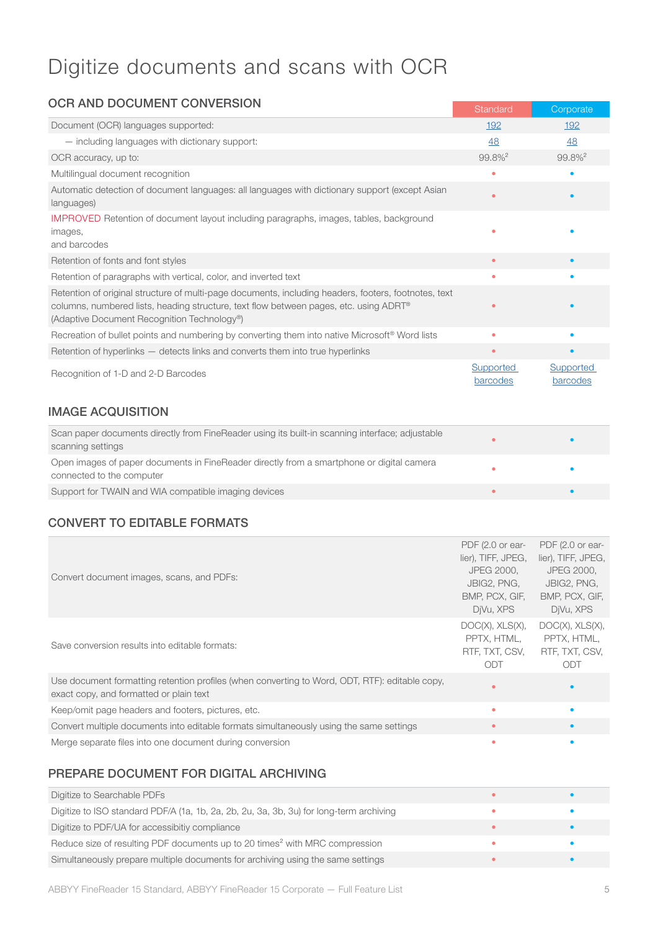### Digitize documents and scans with OCR

| <b>OCR AND DOCUMENT CONVERSION</b>                                                                                                                                                                                                                       | Standard                     | Corporate             |
|----------------------------------------------------------------------------------------------------------------------------------------------------------------------------------------------------------------------------------------------------------|------------------------------|-----------------------|
| Document (OCR) languages supported:                                                                                                                                                                                                                      | 192                          | 192                   |
| - including languages with dictionary support:                                                                                                                                                                                                           | 48                           | 48                    |
| OCR accuracy, up to:                                                                                                                                                                                                                                     | 99.8% <sup>2</sup>           | $99.8\%$ <sup>2</sup> |
| Multilingual document recognition                                                                                                                                                                                                                        | ۵                            |                       |
| Automatic detection of document languages: all languages with dictionary support (except Asian<br>languages)                                                                                                                                             | ۰                            |                       |
| IMPROVED Retention of document layout including paragraphs, images, tables, background<br>images,<br>and barcodes                                                                                                                                        | ۰                            |                       |
| Retention of fonts and font styles                                                                                                                                                                                                                       | $\bullet$                    |                       |
| Retention of paragraphs with vertical, color, and inverted text                                                                                                                                                                                          | ۰                            |                       |
| Retention of original structure of multi-page documents, including headers, footers, footnotes, text<br>columns, numbered lists, heading structure, text flow between pages, etc. using ADRT <sup>®</sup><br>(Adaptive Document Recognition Technology®) |                              |                       |
| Recreation of bullet points and numbering by converting them into native Microsoft <sup>®</sup> Word lists                                                                                                                                               | ۰                            |                       |
| Retention of hyperlinks - detects links and converts them into true hyperlinks                                                                                                                                                                           | $\bullet$                    |                       |
| Recognition of 1-D and 2-D Barcodes                                                                                                                                                                                                                      | <b>Supported</b><br>barcodes | Supported<br>barcodes |
| <b>IMAGE ACQUISITION</b>                                                                                                                                                                                                                                 |                              |                       |

| Scan paper documents directly from FineReader using its built-in scanning interface; adjustable<br>scanning settings   |  |
|------------------------------------------------------------------------------------------------------------------------|--|
| Open images of paper documents in FineReader directly from a smartphone or digital camera<br>connected to the computer |  |
| Support for TWAIN and WIA compatible imaging devices                                                                   |  |

### CONVERT TO EDITABLE FORMATS

|                                                                                                | PDF (2.0 or ear-      | PDF (2.0 or ear-   |
|------------------------------------------------------------------------------------------------|-----------------------|--------------------|
| Convert document images, scans, and PDFs:                                                      | lier), TIFF, JPEG,    | lier), TIFF, JPEG, |
|                                                                                                | JPEG 2000.            | JPEG 2000.         |
|                                                                                                | JBIG2, PNG,           | JBIG2, PNG,        |
|                                                                                                | BMP, PCX, GIF,        | BMP, PCX, GIF,     |
|                                                                                                | DiVu, XPS             | DiVu, XPS          |
|                                                                                                | DOC(X), XLS(X),       | DOC(X), XLS(X),    |
| Save conversion results into editable formats:                                                 | PPTX. HTML.           | PPTX, HTML,        |
|                                                                                                | RTF, TXT, CSV,<br>ODT | RTF, TXT, CSV,     |
|                                                                                                |                       | ODT                |
| Use document formatting retention profiles (when converting to Word, ODT, RTF): editable copy, | $\bullet$             |                    |
| exact copy, and formatted or plain text                                                        |                       |                    |
| Keep/omit page headers and footers, pictures, etc.                                             | ٠                     |                    |
| Convert multiple documents into editable formats simultaneously using the same settings        | $\bullet$             |                    |
| Merge separate files into one document during conversion                                       | ۰                     |                    |

#### PREPARE DOCUMENT FOR DIGITAL ARCHIVING

| Digitize to Searchable PDFs                                                             |  |
|-----------------------------------------------------------------------------------------|--|
| Digitize to ISO standard PDF/A (1a, 1b, 2a, 2b, 2u, 3a, 3b, 3u) for long-term archiving |  |
| Digitize to PDF/UA for accessibitiy compliance                                          |  |
| Reduce size of resulting PDF documents up to 20 times <sup>2</sup> with MRC compression |  |
| Simultaneously prepare multiple documents for archiving using the same settings         |  |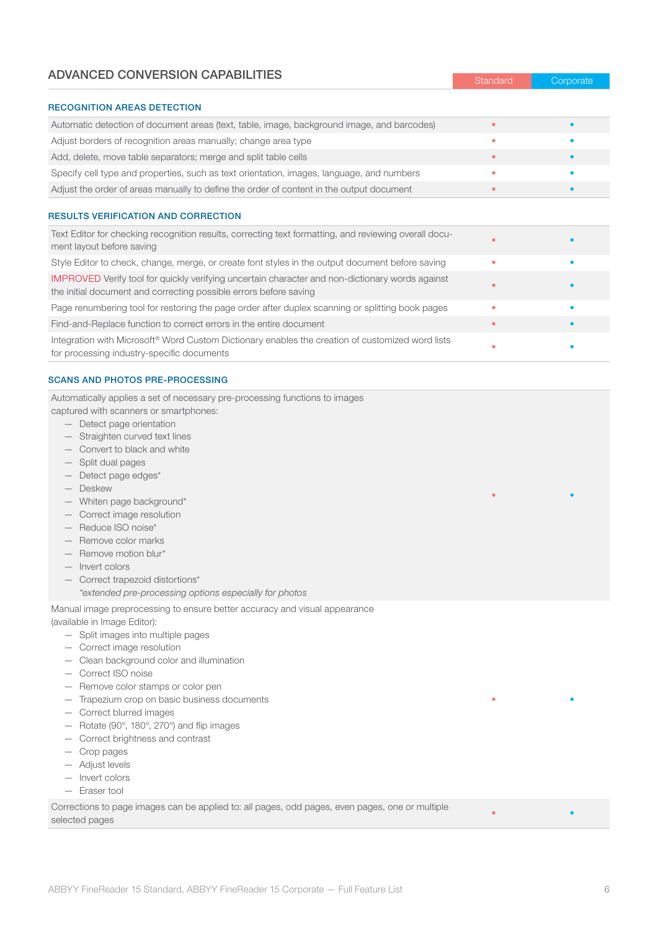#### ADVANCED CONVERSION CAPABILITIES

| <b>RECOGNITION AREAS DETECTION</b>                                                                                                                                          |           |  |
|-----------------------------------------------------------------------------------------------------------------------------------------------------------------------------|-----------|--|
| Automatic detection of document areas (text, table, image, background image, and barcodes)                                                                                  |           |  |
| Adjust borders of recognition areas manually; change area type                                                                                                              | ۰         |  |
| Add, delete, move table separators; merge and split table cells                                                                                                             | $\bullet$ |  |
| Specify cell type and properties, such as text orientation, images, language, and numbers                                                                                   |           |  |
| Adjust the order of areas manually to define the order of content in the output document                                                                                    | ۰         |  |
|                                                                                                                                                                             |           |  |
| <b>RESULTS VERIFICATION AND CORRECTION</b>                                                                                                                                  |           |  |
| Text Editor for checking recognition results, correcting text formatting, and reviewing overall docu-<br>ment layout before saving                                          |           |  |
| Style Editor to check, change, merge, or create font styles in the output document before saving                                                                            | ٠         |  |
| <b>IMPROVED</b> Verify tool for quickly verifying uncertain character and non-dictionary words against<br>the initial document and correcting possible errors before saving |           |  |
| Page renumbering tool for restoring the page order after duplex scanning or splitting book pages                                                                            | ٠         |  |
| Find-and-Replace function to correct errors in the entire document                                                                                                          | $\bullet$ |  |
| Integration with Microsoft <sup>®</sup> Word Custom Dictionary enables the creation of customized word lists<br>for processing industry-specific documents                  |           |  |

Standard Corporate

• • • • • • • • •

• •

#### SCANS AND PHOTOS PRE-PROCESSING

Automatically applies a set of necessary pre-processing functions to images captured with scanners or smartphones:

- Detect page orientation
- Straighten curved text lines
- Convert to black and white
- Split dual pages
- Detect page edges\*
- 
- Deskew
- Whiten page background\*
- Correct image resolution
- Reduce ISO noise\*
- Remove color marks
- Remove motion blur\*
- Invert colors
- Correct trapezoid distortions\*
	- *\*extended pre-processing options especially for photos*

Manual image preprocessing to ensure better accuracy and visual appearance

(available in Image Editor):

- Split images into multiple pages
- Correct image resolution
- Clean background color and illumination
- Correct ISO noise
- Remove color stamps or color pen
- Trapezium crop on basic business documents
- Correct blurred images
- Rotate (90°, 180°, 270°) and flip images
- Correct brightness and contrast
- Crop pages
- Adjust levels
- Invert colors
- Eraser tool

Corrections to page images can be applied to: all pages, odd pages, even pages, one or multiple selected pages • •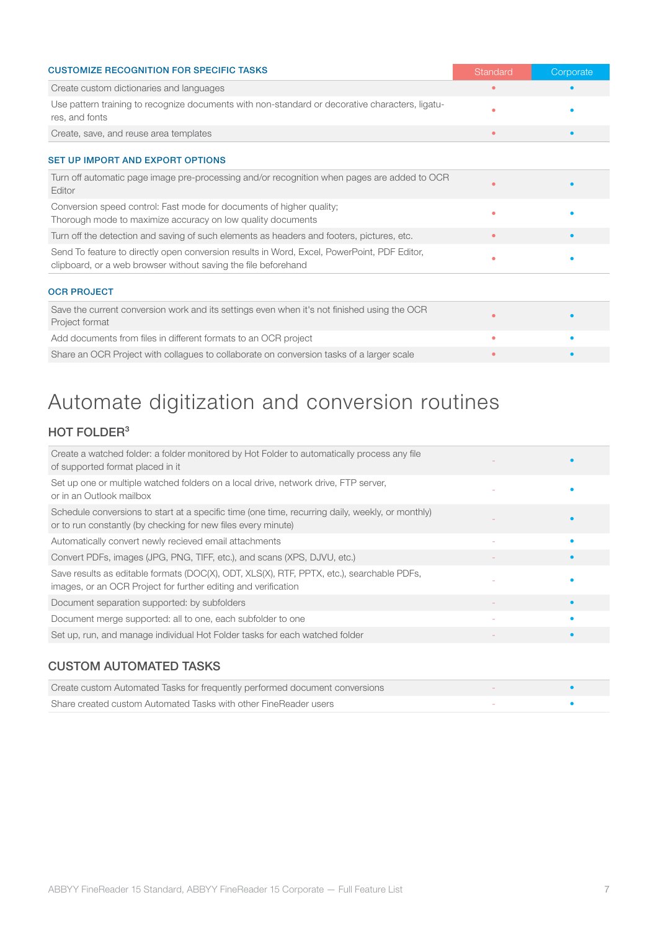| <b>CUSTOMIZE RECOGNITION FOR SPECIFIC TASKS</b>                                                                                                               | Standard  | Corporate |
|---------------------------------------------------------------------------------------------------------------------------------------------------------------|-----------|-----------|
| Create custom dictionaries and languages                                                                                                                      | $\bullet$ |           |
| Use pattern training to recognize documents with non-standard or decorative characters, ligatu-<br>res, and fonts                                             |           |           |
| Create, save, and reuse area templates                                                                                                                        | $\bullet$ |           |
| <b>SET UP IMPORT AND EXPORT OPTIONS</b>                                                                                                                       |           |           |
| Turn off automatic page image pre-processing and/or recognition when pages are added to OCR<br>Editor                                                         |           |           |
| Conversion speed control: Fast mode for documents of higher quality;<br>Thorough mode to maximize accuracy on low quality documents                           | ٠         |           |
| Turn off the detection and saving of such elements as headers and footers, pictures, etc.                                                                     | ۰         |           |
| Send To feature to directly open conversion results in Word, Excel, PowerPoint, PDF Editor,<br>clipboard, or a web browser without saving the file beforehand | ٠         |           |
| <b>OCR PROJECT</b>                                                                                                                                            |           |           |
| Save the current conversion work and its settings even when it's not finished using the OCR<br>Project format                                                 |           |           |
| Add documents from files in different formats to an OCR project                                                                                               | ٠         |           |
| Share an OCR Project with collagues to collaborate on conversion tasks of a larger scale                                                                      | ٠         |           |

## Automate digitization and conversion routines

### HOT FOLDER<sup>3</sup>

| Create a watched folder: a folder monitored by Hot Folder to automatically process any file<br>of supported format placed in it                                   |  |
|-------------------------------------------------------------------------------------------------------------------------------------------------------------------|--|
| Set up one or multiple watched folders on a local drive, network drive, FTP server,<br>or in an Outlook mailbox                                                   |  |
| Schedule conversions to start at a specific time (one time, recurring daily, weekly, or monthly)<br>or to run constantly (by checking for new files every minute) |  |
| Automatically convert newly recieved email attachments                                                                                                            |  |
| Convert PDFs, images (JPG, PNG, TIFF, etc.), and scans (XPS, DJVU, etc.)                                                                                          |  |
| Save results as editable formats (DOC(X), ODT, XLS(X), RTF, PPTX, etc.), searchable PDFs,<br>images, or an OCR Project for further editing and verification       |  |
| Document separation supported: by subfolders                                                                                                                      |  |
| Document merge supported: all to one, each subfolder to one                                                                                                       |  |
| Set up, run, and manage individual Hot Folder tasks for each watched folder                                                                                       |  |
|                                                                                                                                                                   |  |

#### CUSTOM AUTOMATED TASKS

| Create custom Automated Tasks for frequently performed document conversions |  |
|-----------------------------------------------------------------------------|--|
| Share created custom Automated Tasks with other FineReader users            |  |